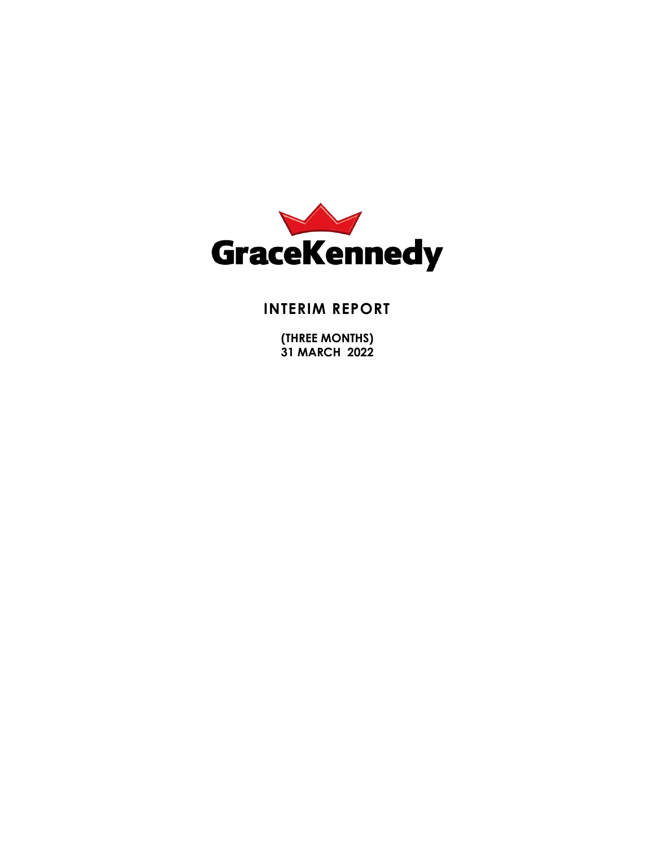

# **INTERIM REPORT**

**(THREE MONTHS) 31 MARCH 2022**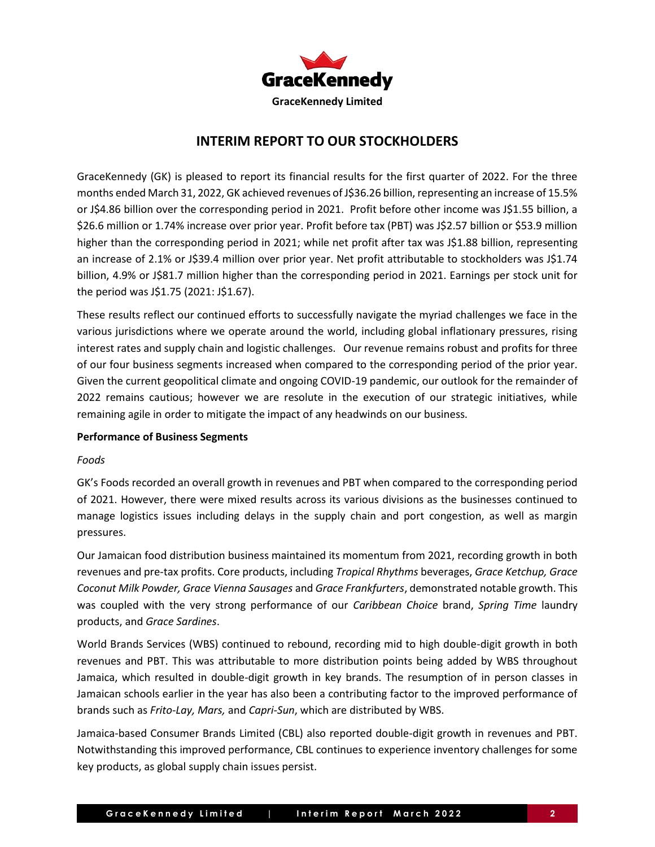

## **INTERIM REPORT TO OUR STOCKHOLDERS**

GraceKennedy (GK) is pleased to report its financial results for the first quarter of 2022. For the three months ended March 31, 2022, GK achieved revenues of J\$36.26 billion, representing an increase of 15.5% or J\$4.86 billion over the corresponding period in 2021. Profit before other income was J\$1.55 billion, a \$26.6 million or 1.74% increase over prior year. Profit before tax (PBT) was J\$2.57 billion or \$53.9 million higher than the corresponding period in 2021; while net profit after tax was J\$1.88 billion, representing an increase of 2.1% or J\$39.4 million over prior year. Net profit attributable to stockholders was J\$1.74 billion, 4.9% or J\$81.7 million higher than the corresponding period in 2021. Earnings per stock unit for the period was J\$1.75 (2021: J\$1.67).

These results reflect our continued efforts to successfully navigate the myriad challenges we face in the various jurisdictions where we operate around the world, including global inflationary pressures, rising interest rates and supply chain and logistic challenges. Our revenue remains robust and profits for three of our four business segments increased when compared to the corresponding period of the prior year. Given the current geopolitical climate and ongoing COVID-19 pandemic, our outlook for the remainder of 2022 remains cautious; however we are resolute in the execution of our strategic initiatives, while remaining agile in order to mitigate the impact of any headwinds on our business.

## **Performance of Business Segments**

## *Foods*

GK's Foods recorded an overall growth in revenues and PBT when compared to the corresponding period of 2021. However, there were mixed results across its various divisions as the businesses continued to manage logistics issues including delays in the supply chain and port congestion, as well as margin pressures.

Our Jamaican food distribution business maintained its momentum from 2021, recording growth in both revenues and pre-tax profits. Core products, including *Tropical Rhythms* beverages, *Grace Ketchup, Grace Coconut Milk Powder, Grace Vienna Sausages* and *Grace Frankfurters*, demonstrated notable growth. This was coupled with the very strong performance of our *Caribbean Choice* brand, *Spring Time* laundry products, and *Grace Sardines*.

World Brands Services (WBS) continued to rebound, recording mid to high double-digit growth in both revenues and PBT. This was attributable to more distribution points being added by WBS throughout Jamaica, which resulted in double-digit growth in key brands. The resumption of in person classes in Jamaican schools earlier in the year has also been a contributing factor to the improved performance of brands such as *Frito-Lay, Mars,* and *Capri-Sun*, which are distributed by WBS.

Jamaica-based Consumer Brands Limited (CBL) also reported double-digit growth in revenues and PBT. Notwithstanding this improved performance, CBL continues to experience inventory challenges for some key products, as global supply chain issues persist.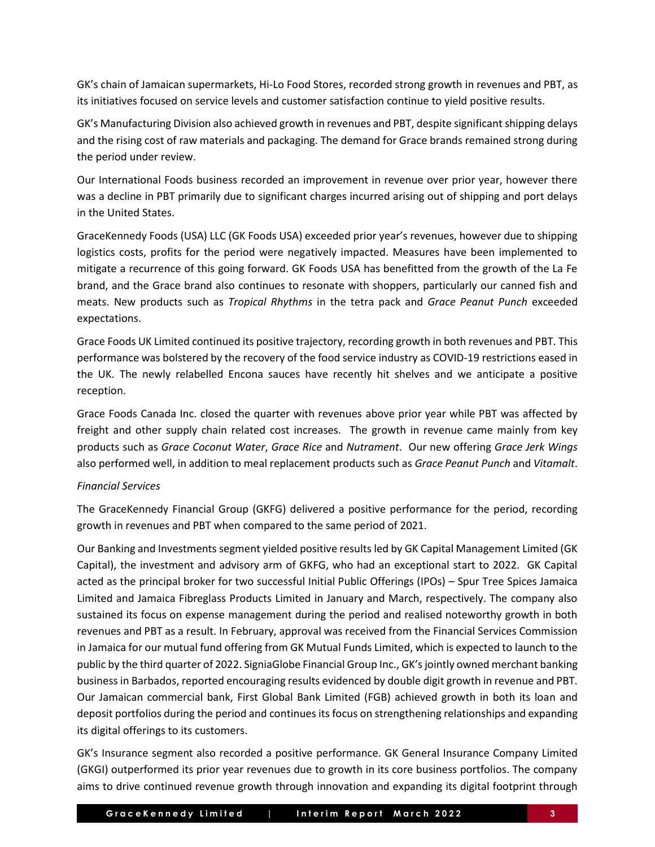GK's chain of Jamaican supermarkets, Hi-Lo Food Stores, recorded strong growth in revenues and PBT, as its initiatives focused on service levels and customer satisfaction continue to yield positive results.

GK's Manufacturing Division also achieved growth in revenues and PBT, despite significant shipping delays and the rising cost of raw materials and packaging. The demand for Grace brands remained strong during the period under review.

Our International Foods business recorded an improvement in revenue over prior year, however there was a decline in PBT primarily due to significant charges incurred arising out of shipping and port delays in the United States.

GraceKennedy Foods (USA) LLC (GK Foods USA) exceeded prior year's revenues, however due to shipping logistics costs, profits for the period were negatively impacted. Measures have been implemented to mitigate a recurrence of this going forward. GK Foods USA has benefitted from the growth of the La Fe brand, and the Grace brand also continues to resonate with shoppers, particularly our canned fish and meats. New products such as *Tropical Rhythms* in the tetra pack and *Grace Peanut Punch* exceeded expectations.

Grace Foods UK Limited continued its positive trajectory, recording growth in both revenues and PBT. This performance was bolstered by the recovery of the food service industry as COVID-19 restrictions eased in the UK. The newly relabelled Encona sauces have recently hit shelves and we anticipate a positive reception.

Grace Foods Canada Inc. closed the quarter with revenues above prior year while PBT was affected by freight and other supply chain related cost increases. The growth in revenue came mainly from key products such as *Grace Coconut Water*, *Grace Rice* and *Nutrament*. Our new offering *Grace Jerk Wings* also performed well, in addition to meal replacement products such as *Grace Peanut Punch* and *Vitamalt*.

## *Financial Services*

The GraceKennedy Financial Group (GKFG) delivered a positive performance for the period, recording growth in revenues and PBT when compared to the same period of 2021.

Our Banking and Investments segment yielded positive results led by GK Capital Management Limited (GK Capital), the investment and advisory arm of GKFG, who had an exceptional start to 2022. GK Capital acted as the principal broker for two successful Initial Public Offerings (IPOs) – Spur Tree Spices Jamaica Limited and Jamaica Fibreglass Products Limited in January and March, respectively. The company also sustained its focus on expense management during the period and realised noteworthy growth in both revenues and PBT as a result. In February, approval was received from the Financial Services Commission in Jamaica for our mutual fund offering from GK Mutual Funds Limited, which is expected to launch to the public by the third quarter of 2022. SigniaGlobe Financial Group Inc., GK's jointly owned merchant banking business in Barbados, reported encouraging results evidenced by double digit growth in revenue and PBT. Our Jamaican commercial bank, First Global Bank Limited (FGB) achieved growth in both its loan and deposit portfolios during the period and continues its focus on strengthening relationships and expanding its digital offerings to its customers.

GK's Insurance segment also recorded a positive performance. GK General Insurance Company Limited (GKGI) outperformed its prior year revenues due to growth in its core business portfolios. The company aims to drive continued revenue growth through innovation and expanding its digital footprint through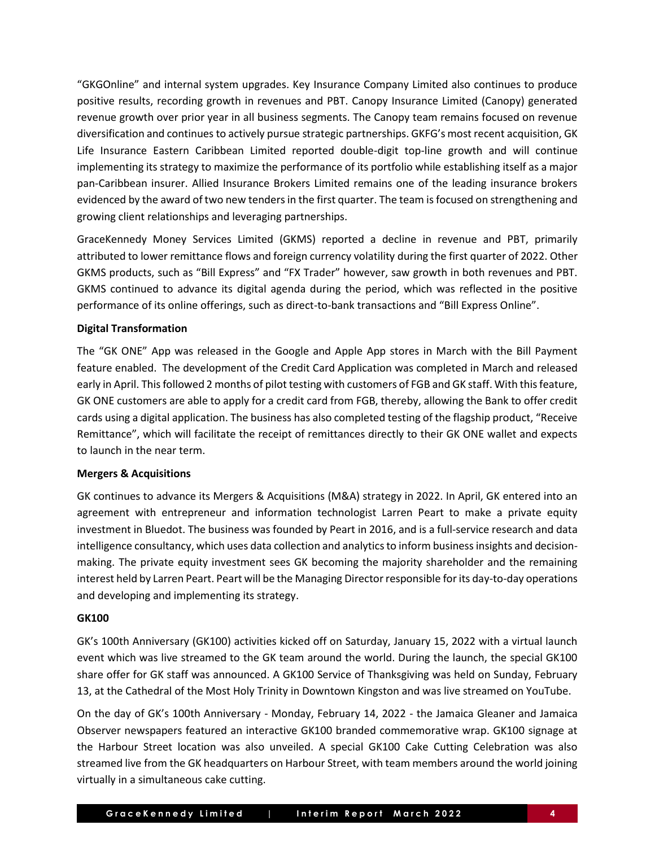"GKGOnline" and internal system upgrades. Key Insurance Company Limited also continues to produce positive results, recording growth in revenues and PBT. Canopy Insurance Limited (Canopy) generated revenue growth over prior year in all business segments. The Canopy team remains focused on revenue diversification and continues to actively pursue strategic partnerships. GKFG's most recent acquisition, GK Life Insurance Eastern Caribbean Limited reported double-digit top-line growth and will continue implementing its strategy to maximize the performance of its portfolio while establishing itself as a major pan-Caribbean insurer. Allied Insurance Brokers Limited remains one of the leading insurance brokers evidenced by the award of two new tenders in the first quarter. The team is focused on strengthening and growing client relationships and leveraging partnerships.

GraceKennedy Money Services Limited (GKMS) reported a decline in revenue and PBT, primarily attributed to lower remittance flows and foreign currency volatility during the first quarter of 2022. Other GKMS products, such as "Bill Express" and "FX Trader" however, saw growth in both revenues and PBT. GKMS continued to advance its digital agenda during the period, which was reflected in the positive performance of its online offerings, such as direct-to-bank transactions and "Bill Express Online".

### **Digital Transformation**

The "GK ONE" App was released in the Google and Apple App stores in March with the Bill Payment feature enabled. The development of the Credit Card Application was completed in March and released early in April. This followed 2 months of pilot testing with customers of FGB and GK staff. With this feature, GK ONE customers are able to apply for a credit card from FGB, thereby, allowing the Bank to offer credit cards using a digital application. The business has also completed testing of the flagship product, "Receive Remittance", which will facilitate the receipt of remittances directly to their GK ONE wallet and expects to launch in the near term.

## **Mergers & Acquisitions**

GK continues to advance its Mergers & Acquisitions (M&A) strategy in 2022. In April, GK entered into an agreement with entrepreneur and information technologist Larren Peart to make a private equity investment in Bluedot. The business was founded by Peart in 2016, and is a full-service research and data intelligence consultancy, which uses data collection and analytics to inform business insights and decisionmaking. The private equity investment sees GK becoming the majority shareholder and the remaining interest held by Larren Peart. Peart will be the Managing Director responsible for its day-to-day operations and developing and implementing its strategy.

## **GK100**

GK's 100th Anniversary (GK100) activities kicked off on Saturday, January 15, 2022 with a virtual launch event which was live streamed to the GK team around the world. During the launch, the special GK100 share offer for GK staff was announced. A GK100 Service of Thanksgiving was held on Sunday, February 13, at the Cathedral of the Most Holy Trinity in Downtown Kingston and was live streamed on YouTube.

On the day of GK's 100th Anniversary - Monday, February 14, 2022 - the Jamaica Gleaner and Jamaica Observer newspapers featured an interactive GK100 branded commemorative wrap. GK100 signage at the Harbour Street location was also unveiled. A special GK100 Cake Cutting Celebration was also streamed live from the GK headquarters on Harbour Street, with team members around the world joining virtually in a simultaneous cake cutting.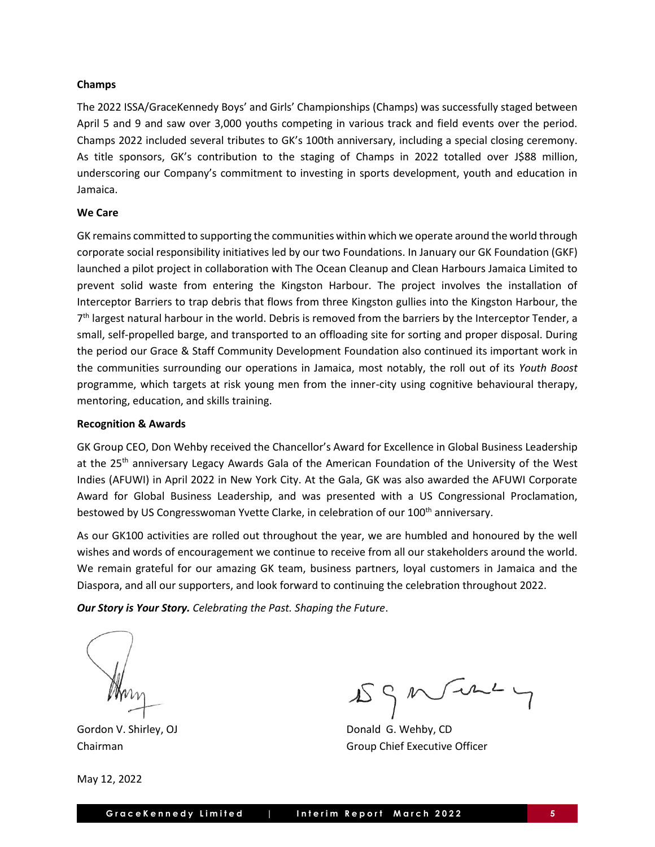### **Champs**

The 2022 ISSA/GraceKennedy Boys' and Girls' Championships (Champs) was successfully staged between April 5 and 9 and saw over 3,000 youths competing in various track and field events over the period. Champs 2022 included several tributes to GK's 100th anniversary, including a special closing ceremony. As title sponsors, GK's contribution to the staging of Champs in 2022 totalled over J\$88 million, underscoring our Company's commitment to investing in sports development, youth and education in Jamaica.

### **We Care**

GK remains committed to supporting the communities within which we operate around the world through corporate social responsibility initiatives led by our two Foundations. In January our GK Foundation (GKF) launched a pilot project in collaboration with The Ocean Cleanup and Clean Harbours Jamaica Limited to prevent solid waste from entering the Kingston Harbour. The project involves the installation of Interceptor Barriers to trap debris that flows from three Kingston gullies into the Kingston Harbour, the 7<sup>th</sup> largest natural harbour in the world. Debris is removed from the barriers by the Interceptor Tender, a small, self-propelled barge, and transported to an offloading site for sorting and proper disposal. During the period our Grace & Staff Community Development Foundation also continued its important work in the communities surrounding our operations in Jamaica, most notably, the roll out of its *Youth Boost* programme, which targets at risk young men from the inner-city using cognitive behavioural therapy, mentoring, education, and skills training.

### **Recognition & Awards**

GK Group CEO, Don Wehby received the Chancellor's Award for Excellence in Global Business Leadership at the 25<sup>th</sup> anniversary Legacy Awards Gala of the American Foundation of the University of the West Indies (AFUWI) in April 2022 in New York City. At the Gala, GK was also awarded the AFUWI Corporate Award for Global Business Leadership, and was presented with a US Congressional Proclamation, bestowed by US Congresswoman Yvette Clarke, in celebration of our 100<sup>th</sup> anniversary.

As our GK100 activities are rolled out throughout the year, we are humbled and honoured by the well wishes and words of encouragement we continue to receive from all our stakeholders around the world. We remain grateful for our amazing GK team, business partners, loyal customers in Jamaica and the Diaspora, and all our supporters, and look forward to continuing the celebration throughout 2022.

*Our Story is Your Story. Celebrating the Past. Shaping the Future*.

May 12, 2022

 $\text{IS} \circ \text{M} \rightarrow \text{L}$ 

Gordon V. Shirley, OJ **Donald G. Wehby, CD** Chairman Group Chief Executive Officer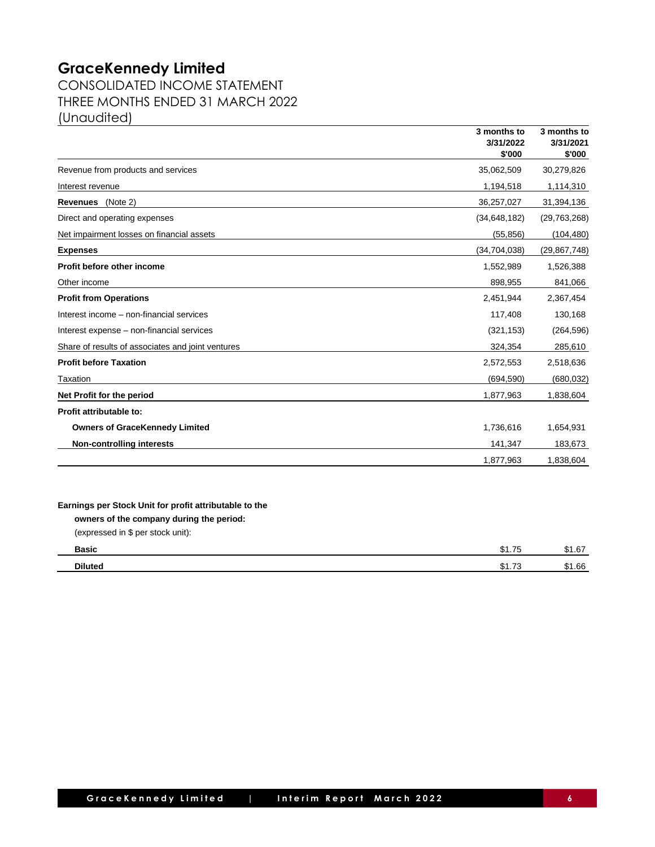CONSOLIDATED INCOME STATEMENT THREE MONTHS ENDED 31 MARCH 2022 (Unaudited)

|                                                   | 3 months to<br>3/31/2022<br>\$'000 | 3 months to<br>3/31/2021<br>\$'000 |
|---------------------------------------------------|------------------------------------|------------------------------------|
| Revenue from products and services                | 35,062,509                         | 30,279,826                         |
| Interest revenue                                  | 1,194,518                          | 1,114,310                          |
| Revenues (Note 2)                                 | 36,257,027                         | 31,394,136                         |
| Direct and operating expenses                     | (34, 648, 182)                     | (29, 763, 268)                     |
| Net impairment losses on financial assets         | (55, 856)                          | (104, 480)                         |
| <b>Expenses</b>                                   | (34, 704, 038)                     | (29, 867, 748)                     |
| Profit before other income                        | 1,552,989                          | 1,526,388                          |
| Other income                                      | 898,955                            | 841,066                            |
| <b>Profit from Operations</b>                     | 2,451,944                          | 2,367,454                          |
| Interest income - non-financial services          | 117,408                            | 130,168                            |
| Interest expense - non-financial services         | (321, 153)                         | (264, 596)                         |
| Share of results of associates and joint ventures | 324,354                            | 285,610                            |
| <b>Profit before Taxation</b>                     | 2,572,553                          | 2,518,636                          |
| Taxation                                          | (694, 590)                         | (680, 032)                         |
| Net Profit for the period                         | 1,877,963                          | 1,838,604                          |
| Profit attributable to:                           |                                    |                                    |
| <b>Owners of GraceKennedy Limited</b>             | 1,736,616                          | 1,654,931                          |
| <b>Non-controlling interests</b>                  | 141,347                            | 183,673                            |
|                                                   | 1,877,963                          | 1,838,604                          |

| <b>Basic</b>   | $\overline{\phantom{a}}$<br>$\sim$<br>\$1.75 | . 67 |
|----------------|----------------------------------------------|------|
| <b>Diluted</b> | $\overline{ }$<br>$\sim$<br>ن ، ، ۱ ب        | 1.66 |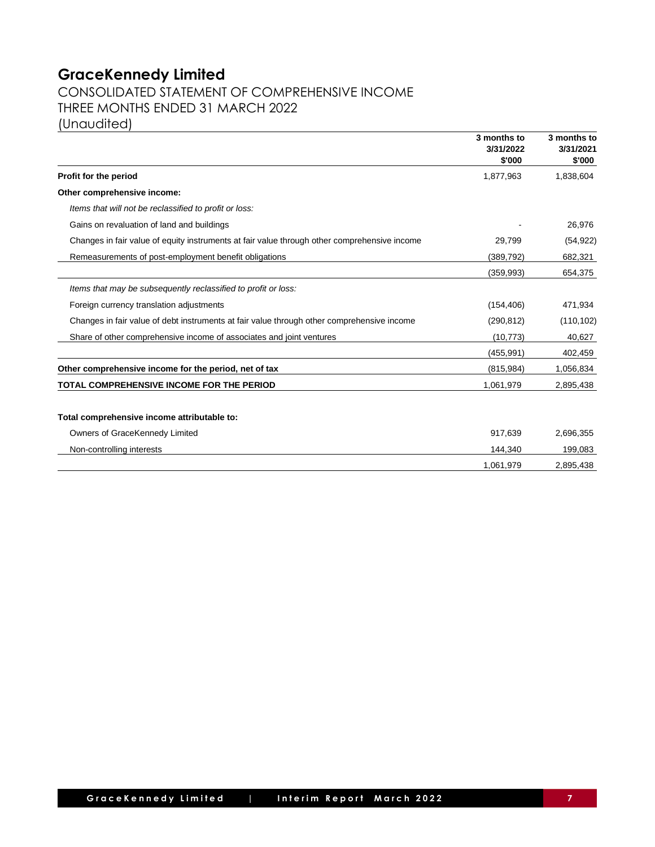## CONSOLIDATED STATEMENT OF COMPREHENSIVE INCOME THREE MONTHS ENDED 31 MARCH 2022 (Unaudited)

|                                                                                              | 3 months to<br>3/31/2022<br>\$'000 | 3 months to<br>3/31/2021<br>\$'000 |
|----------------------------------------------------------------------------------------------|------------------------------------|------------------------------------|
| Profit for the period                                                                        | 1,877,963                          | 1,838,604                          |
| Other comprehensive income:                                                                  |                                    |                                    |
| Items that will not be reclassified to profit or loss:                                       |                                    |                                    |
| Gains on revaluation of land and buildings                                                   |                                    | 26,976                             |
| Changes in fair value of equity instruments at fair value through other comprehensive income | 29,799                             | (54, 922)                          |
| Remeasurements of post-employment benefit obligations                                        | (389, 792)                         | 682,321                            |
|                                                                                              | (359, 993)                         | 654,375                            |
| Items that may be subsequently reclassified to profit or loss:                               |                                    |                                    |
| Foreign currency translation adjustments                                                     | (154, 406)                         | 471,934                            |
| Changes in fair value of debt instruments at fair value through other comprehensive income   | (290, 812)                         | (110, 102)                         |
| Share of other comprehensive income of associates and joint ventures                         | (10, 773)                          | 40,627                             |
|                                                                                              | (455, 991)                         | 402,459                            |
| Other comprehensive income for the period, net of tax                                        | (815, 984)                         | 1,056,834                          |
| TOTAL COMPREHENSIVE INCOME FOR THE PERIOD                                                    | 1,061,979                          | 2,895,438                          |
|                                                                                              |                                    |                                    |
| Total comprehensive income attributable to:                                                  |                                    |                                    |
| Owners of GraceKennedy Limited                                                               | 917,639                            | 2,696,355                          |
| Non-controlling interests                                                                    | 144,340                            | 199,083                            |
|                                                                                              | 1,061,979                          | 2,895,438                          |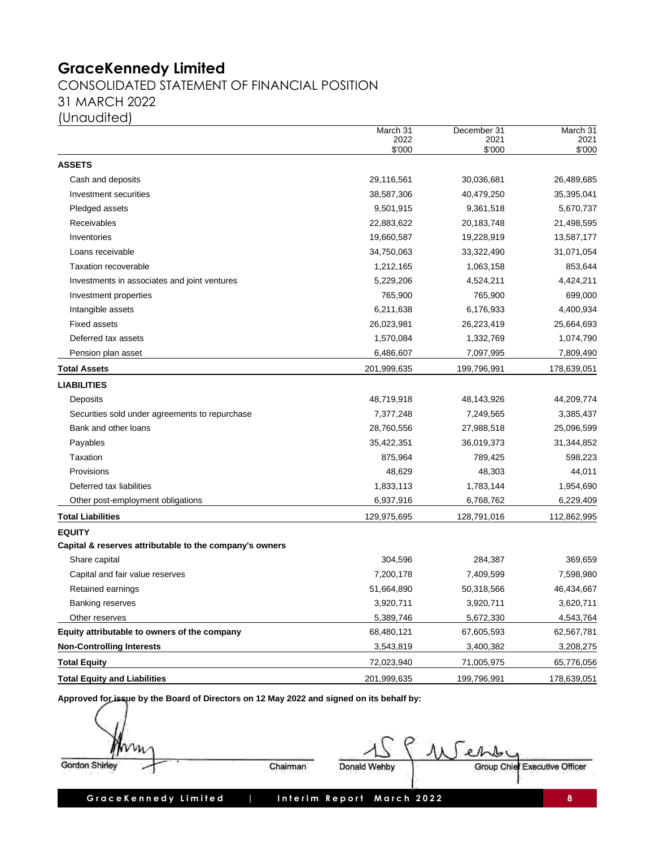## CONSOLIDATED STATEMENT OF FINANCIAL POSITION 31 MARCH 2022 (Unaudited)

|                                                         | March 31<br>2022<br>\$'000 | December 31<br>2021<br>\$'000 | March 31<br>2021<br>\$'000 |
|---------------------------------------------------------|----------------------------|-------------------------------|----------------------------|
| <b>ASSETS</b>                                           |                            |                               |                            |
| Cash and deposits                                       | 29,116,561                 | 30,036,681                    | 26,489,685                 |
| Investment securities                                   | 38,587,306                 | 40,479,250                    | 35,395,041                 |
| Pledged assets                                          | 9,501,915                  | 9,361,518                     | 5,670,737                  |
| Receivables                                             | 22,883,622                 | 20,183,748                    | 21,498,595                 |
| Inventories                                             | 19,660,587                 | 19,228,919                    | 13,587,177                 |
| Loans receivable                                        | 34,750,063                 | 33,322,490                    | 31,071,054                 |
| <b>Taxation recoverable</b>                             | 1,212,165                  | 1,063,158                     | 853,644                    |
| Investments in associates and joint ventures            | 5,229,206                  | 4,524,211                     | 4,424,211                  |
| Investment properties                                   | 765,900                    | 765,900                       | 699,000                    |
| Intangible assets                                       | 6,211,638                  | 6,176,933                     | 4,400,934                  |
| <b>Fixed assets</b>                                     | 26,023,981                 | 26,223,419                    | 25,664,693                 |
| Deferred tax assets                                     | 1,570,084                  | 1,332,769                     | 1,074,790                  |
| Pension plan asset                                      | 6,486,607                  | 7,097,995                     | 7,809,490                  |
| <b>Total Assets</b>                                     | 201,999,635                | 199,796,991                   | 178,639,051                |
| <b>LIABILITIES</b>                                      |                            |                               |                            |
| Deposits                                                | 48,719,918                 | 48,143,926                    | 44,209,774                 |
| Securities sold under agreements to repurchase          | 7,377,248                  | 7,249,565                     | 3,385,437                  |
| Bank and other loans                                    | 28,760,556                 | 27,988,518                    | 25,096,599                 |
| Payables                                                | 35,422,351                 | 36,019,373                    | 31,344,852                 |
| <b>Taxation</b>                                         | 875,964                    | 789,425                       | 598,223                    |
| Provisions                                              | 48,629                     | 48,303                        | 44,011                     |
| Deferred tax liabilities                                | 1,833,113                  | 1,783,144                     | 1,954,690                  |
| Other post-employment obligations                       | 6,937,916                  | 6,768,762                     | 6,229,409                  |
| <b>Total Liabilities</b>                                | 129,975,695                | 128,791,016                   | 112,862,995                |
| <b>EQUITY</b>                                           |                            |                               |                            |
| Capital & reserves attributable to the company's owners |                            |                               |                            |
| Share capital                                           | 304,596                    | 284,387                       | 369,659                    |
| Capital and fair value reserves                         | 7,200,178                  | 7,409,599                     | 7,598,980                  |
| Retained earnings                                       | 51,664,890                 | 50,318,566                    | 46,434,667                 |
| Banking reserves                                        | 3,920,711                  | 3,920,711                     | 3,620,711                  |
| Other reserves                                          | 5,389,746                  | 5,672,330                     | 4,543,764                  |
| Equity attributable to owners of the company            | 68,480,121                 | 67,605,593                    | 62,567,781                 |
| <b>Non-Controlling Interests</b>                        | 3,543,819                  | 3,400,382                     | 3,208,275                  |
| <b>Total Equity</b>                                     | 72,023,940                 | 71,005,975                    | 65,776,056                 |
| <b>Total Equity and Liabilities</b>                     | 201,999,635                | 199,796,991                   | 178,639,051                |
|                                                         |                            |                               |                            |

**Approved for issue by the Board of Directors on 12 May 2022 and signed on its behalf by:**

| $v_{n}$               |          |              | ehby                          |
|-----------------------|----------|--------------|-------------------------------|
| <b>Gordon Shirley</b> | Chairman | Donald Wehby | Group Chief Executive Officer |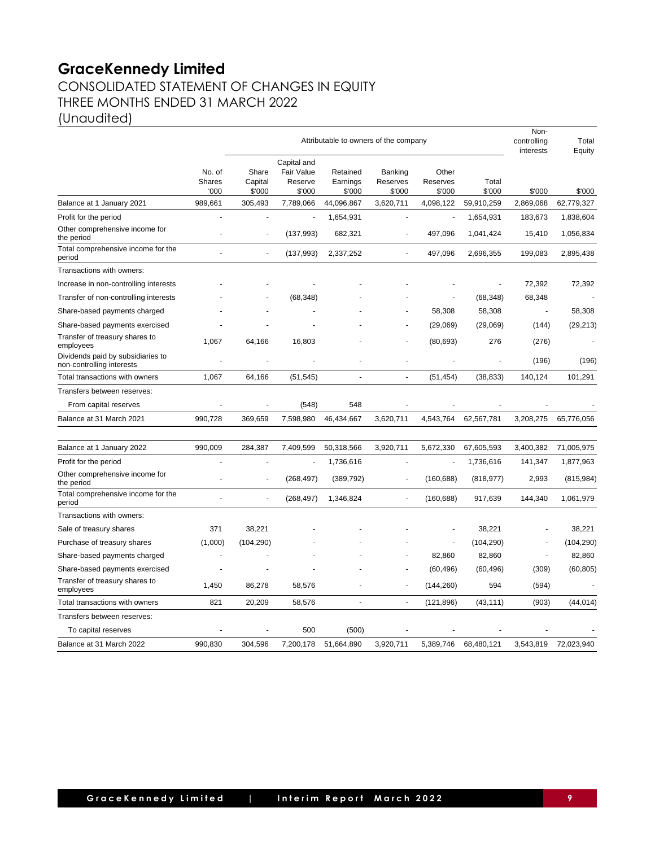# **GraceKennedy Limited** CONSOLIDATED STATEMENT OF CHANGES IN EQUITY THREE MONTHS ENDED 31 MARCH 2022

(Unaudited)

|                                                                |                                 | Attributable to owners of the company |                                                |                                |                               |                             | Non-<br>controlling<br>interests | Total<br>Equity |            |
|----------------------------------------------------------------|---------------------------------|---------------------------------------|------------------------------------------------|--------------------------------|-------------------------------|-----------------------------|----------------------------------|-----------------|------------|
|                                                                | No. of<br><b>Shares</b><br>'000 | Share<br>Capital<br>\$'000            | Capital and<br>Fair Value<br>Reserve<br>\$'000 | Retained<br>Earnings<br>\$'000 | Banking<br>Reserves<br>\$'000 | Other<br>Reserves<br>\$'000 | Total<br>\$'000                  | \$'000          | \$'000     |
| Balance at 1 January 2021                                      | 989,661                         | 305,493                               | 7,789,066                                      | 44,096,867                     | 3,620,711                     | 4,098,122                   | 59,910,259                       | 2,869,068       | 62,779,327 |
| Profit for the period                                          | Ĭ.                              | ÷,                                    |                                                | 1,654,931                      | ÷,                            | ÷,                          | 1,654,931                        | 183,673         | 1,838,604  |
| Other comprehensive income for<br>the period                   |                                 | ä,                                    | (137, 993)                                     | 682,321                        |                               | 497,096                     | 1,041,424                        | 15,410          | 1,056,834  |
| Total comprehensive income for the<br>period                   |                                 |                                       | (137, 993)                                     | 2,337,252                      |                               | 497,096                     | 2,696,355                        | 199,083         | 2,895,438  |
| Transactions with owners:                                      |                                 |                                       |                                                |                                |                               |                             |                                  |                 |            |
| Increase in non-controlling interests                          |                                 |                                       |                                                |                                |                               |                             |                                  | 72,392          | 72,392     |
| Transfer of non-controlling interests                          |                                 |                                       | (68, 348)                                      |                                |                               |                             | (68, 348)                        | 68,348          |            |
| Share-based payments charged                                   |                                 |                                       |                                                |                                |                               | 58,308                      | 58,308                           |                 | 58,308     |
| Share-based payments exercised                                 |                                 |                                       |                                                |                                |                               | (29,069)                    | (29,069)                         | (144)           | (29, 213)  |
| Transfer of treasury shares to<br>employees                    | 1,067                           | 64,166                                | 16,803                                         |                                |                               | (80, 693)                   | 276                              | (276)           |            |
| Dividends paid by subsidiaries to<br>non-controlling interests |                                 |                                       |                                                |                                |                               |                             |                                  | (196)           | (196)      |
| Total transactions with owners                                 | 1,067                           | 64,166                                | (51, 545)                                      | ä,                             | $\sim$                        | (51, 454)                   | (38, 833)                        | 140,124         | 101,291    |
| Transfers between reserves:                                    |                                 |                                       |                                                |                                |                               |                             |                                  |                 |            |
| From capital reserves                                          | Ĭ.                              |                                       | (548)                                          | 548                            |                               |                             |                                  |                 |            |
| Balance at 31 March 2021                                       | 990,728                         | 369,659                               | 7,598,980                                      | 46,434,667                     | 3,620,711                     | 4,543,764                   | 62,567,781                       | 3,208,275       | 65,776,056 |
| Balance at 1 January 2022                                      | 990,009                         | 284,387                               | 7,409,599                                      | 50,318,566                     | 3,920,711                     | 5,672,330                   | 67,605,593                       | 3,400,382       | 71,005,975 |
| Profit for the period                                          |                                 |                                       |                                                | 1,736,616                      | ä,                            | ÷,                          | 1,736,616                        | 141,347         | 1,877,963  |
| Other comprehensive income for<br>the period                   |                                 |                                       | (268, 497)                                     | (389, 792)                     | ä,                            | (160, 688)                  | (818, 977)                       | 2,993           | (815, 984) |
| Total comprehensive income for the<br>period                   | L.                              | ÷.                                    | (268, 497)                                     | 1,346,824                      | ÷.                            | (160, 688)                  | 917,639                          | 144,340         | 1,061,979  |
| Transactions with owners:                                      |                                 |                                       |                                                |                                |                               |                             |                                  |                 |            |
| Sale of treasury shares                                        | 371                             | 38,221                                |                                                |                                |                               |                             | 38,221                           |                 | 38,221     |
| Purchase of treasury shares                                    | (1,000)                         | (104, 290)                            |                                                |                                |                               |                             | (104, 290)                       |                 | (104, 290) |
| Share-based payments charged                                   |                                 |                                       |                                                |                                |                               | 82,860                      | 82,860                           |                 | 82,860     |
| Share-based payments exercised                                 |                                 |                                       |                                                |                                |                               | (60, 496)                   | (60, 496)                        | (309)           | (60, 805)  |
| Transfer of treasury shares to<br>employees                    | 1,450                           | 86,278                                | 58,576                                         |                                | ٠                             | (144, 260)                  | 594                              | (594)           |            |
| Total transactions with owners                                 | 821                             | 20,209                                | 58,576                                         | $\overline{a}$                 | $\overline{\phantom{a}}$      | (121, 896)                  | (43, 111)                        | (903)           | (44, 014)  |
| Transfers between reserves:                                    |                                 |                                       |                                                |                                |                               |                             |                                  |                 |            |
| To capital reserves                                            |                                 |                                       | 500                                            | (500)                          |                               |                             |                                  |                 |            |
| Balance at 31 March 2022                                       | 990,830                         | 304,596                               | 7,200,178                                      | 51,664,890                     | 3,920,711                     | 5,389,746                   | 68,480,121                       | 3,543,819       | 72,023,940 |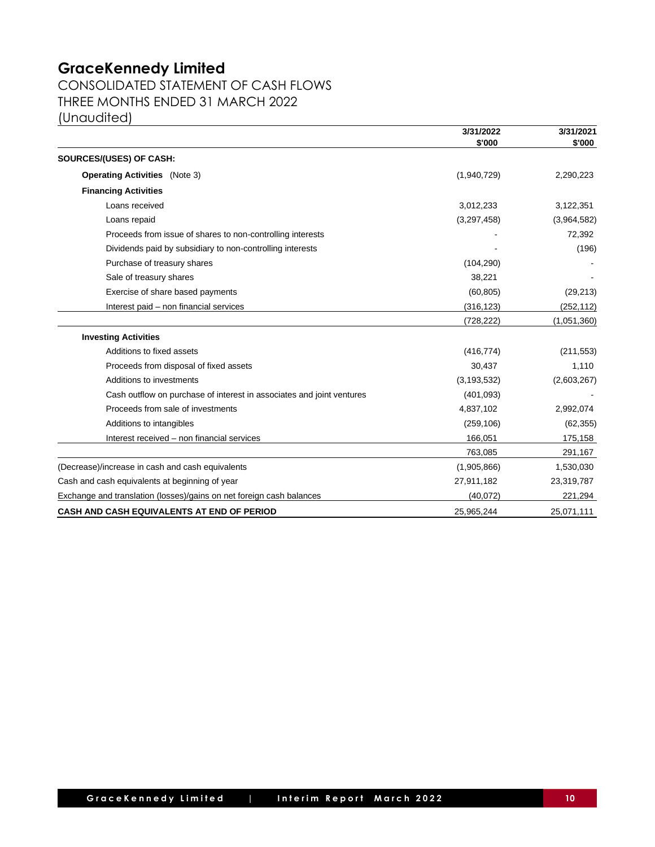CONSOLIDATED STATEMENT OF CASH FLOWS THREE MONTHS ENDED 31 MARCH 2022 (Unaudited)

**3/31/2022 3/31/2021 \$'000) \$'000) SOURCES/(USES) OF CASH: Operating Activities** (Note 3) (1,940,729) 2,290,223 **Financing Activities** Loans received 3,012,331 3,122,351 3,122,351 Loans repaid (3,297,458) (3,964,582) Proceeds from issue of shares to non-controlling interests **72,392** and the state of shares to non-controlling interests **72,392** Dividends paid by subsidiary to non-controlling interests - (196) Purchase of treasury shares (104,290) - (104,290) Sale of treasury shares 38,221 Exercise of share based payments (60,805) (29,213) Interest paid – non financial services (316,123) (252,112) (728,222) (1,051,360) **Investing Activities** Additions to fixed assets (416,774) (211,553) Proceeds from disposal of fixed assets 30,437 1,110 Additions to investments (3,193,532) (2,603,267) Cash outflow on purchase of interest in associates and joint ventures (401,093) - Proceeds from sale of investments 4,837,102 2,992,074 Additions to intangibles (259,106) (62,355) Interest received – non financial services 166,051 175,158 763,085 291,167 (Decrease)/increase in cash and cash equivalents (1,905,866) 1,530,030 1,530,030 Cash and cash equivalents at beginning of year 27,911,182 23,319,787 Exchange and translation (losses)/gains on net foreign cash balances (40,072) 221,294 **CASH AND CASH EQUIVALENTS AT END OF PERIOD** 25,965,244 25,071,111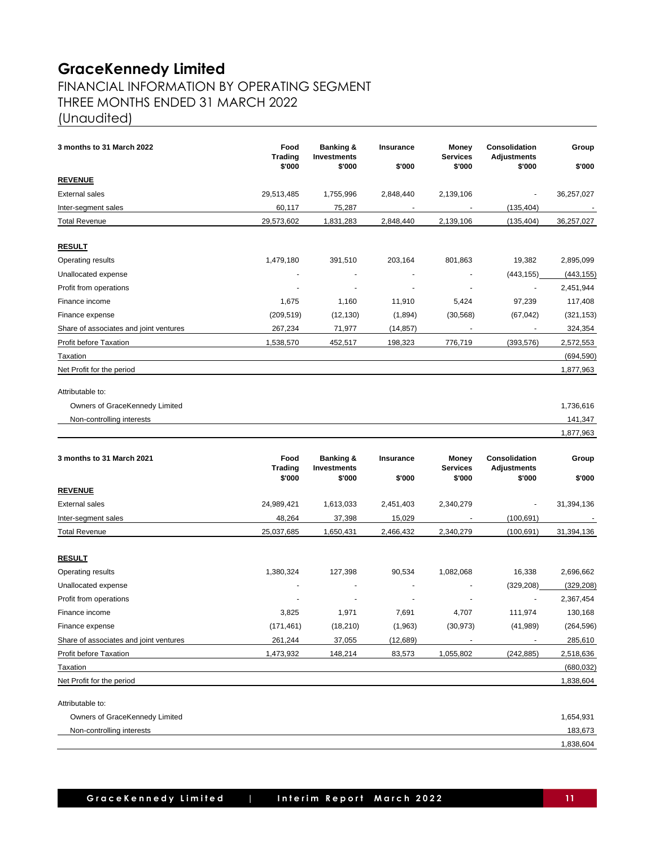## FINANCIAL INFORMATION BY OPERATING SEGMENT THREE MONTHS ENDED 31 MARCH 2022 (Unaudited)

| 3 months to 31 March 2022              | Food<br><b>Trading</b><br>\$'000 | <b>Banking &amp;</b><br><b>Investments</b><br>\$'000 | Insurance<br>\$'000      | Money<br><b>Services</b><br>\$'000 | Consolidation<br><b>Adjustments</b><br>\$'000 | Group<br>\$'000 |
|----------------------------------------|----------------------------------|------------------------------------------------------|--------------------------|------------------------------------|-----------------------------------------------|-----------------|
| <b>REVENUE</b>                         |                                  |                                                      |                          |                                    |                                               |                 |
| <b>External sales</b>                  | 29,513,485                       | 1,755,996                                            | 2,848,440                | 2,139,106                          | $\overline{\phantom{a}}$                      | 36,257,027      |
| Inter-segment sales                    | 60,117                           | 75,287                                               | $\overline{\phantom{a}}$ | $\blacksquare$                     | (135, 404)                                    |                 |
| Total Revenue                          | 29,573,602                       | 1,831,283                                            | 2,848,440                | 2,139,106                          | (135, 404)                                    | 36,257,027      |
| <b>RESULT</b>                          |                                  |                                                      |                          |                                    |                                               |                 |
| Operating results                      | 1,479,180                        | 391,510                                              | 203,164                  | 801,863                            | 19,382                                        | 2,895,099       |
| Unallocated expense                    |                                  |                                                      |                          | $\overline{a}$                     | (443, 155)                                    | (443, 155)      |
| Profit from operations                 | $\overline{a}$                   | $\overline{a}$                                       | $\overline{\phantom{a}}$ | $\overline{\phantom{a}}$           | $\ddot{\phantom{0}}$                          | 2,451,944       |
| Finance income                         | 1,675                            | 1,160                                                | 11,910                   | 5,424                              | 97,239                                        | 117,408         |
| Finance expense                        | (209, 519)                       | (12, 130)                                            | (1,894)                  | (30, 568)                          | (67, 042)                                     | (321, 153)      |
| Share of associates and joint ventures | 267,234                          | 71,977                                               | (14, 857)                |                                    | ÷,                                            | 324,354         |
| Profit before Taxation                 | 1,538,570                        | 452,517                                              | 198,323                  | 776,719                            | (393, 576)                                    | 2,572,553       |
| Taxation                               |                                  |                                                      |                          |                                    |                                               | (694, 590)      |
| Net Profit for the period              |                                  |                                                      |                          |                                    |                                               | 1,877,963       |
| Attributable to:                       |                                  |                                                      |                          |                                    |                                               |                 |
| Owners of GraceKennedy Limited         |                                  |                                                      |                          |                                    |                                               | 1,736,616       |
| Non-controlling interests              |                                  |                                                      |                          |                                    |                                               | 141,347         |
|                                        |                                  |                                                      |                          |                                    |                                               | 1,877,963       |
| 3 months to 31 March 2021              | Food<br><b>Trading</b><br>\$'000 | <b>Banking &amp;</b><br><b>Investments</b><br>\$'000 | Insurance<br>\$'000      | Money<br><b>Services</b><br>\$'000 | Consolidation<br>Adjustments<br>\$'000        | Group<br>\$'000 |
| <b>REVENUE</b>                         |                                  |                                                      |                          |                                    |                                               |                 |
| <b>External sales</b>                  | 24,989,421                       | 1,613,033                                            | 2,451,403                | 2,340,279                          | $\overline{\phantom{m}}$                      | 31,394,136      |
| Inter-segment sales                    | 48,264                           | 37,398                                               | 15,029                   |                                    | (100, 691)                                    |                 |
| <b>Total Revenue</b>                   | 25,037,685                       | 1,650,431                                            | 2,466,432                | 2,340,279                          | (100, 691)                                    | 31,394,136      |
|                                        |                                  |                                                      |                          |                                    |                                               |                 |
| <u>RESULT</u>                          |                                  |                                                      |                          |                                    |                                               |                 |
| Operating results                      | 1,380,324                        | 127,398                                              | 90,534                   | 1,082,068                          | 16,338                                        | 2,696,662       |
| Unallocated expense                    |                                  | $\overline{\phantom{a}}$                             | $\overline{\phantom{a}}$ | $\overline{\phantom{a}}$           | (329, 208)                                    | (329, 208)      |
| Profit from operations                 |                                  |                                                      |                          |                                    |                                               | 2,367,454       |
| Finance income                         | 3,825                            | 1,971                                                | 7,691                    | 4,707                              | 111,974                                       | 130,168         |
| Finance expense                        | (171, 461)                       | (18, 210)                                            | (1,963)                  | (30, 973)                          | (41, 989)                                     | (264, 596)      |
| Share of associates and joint ventures | 261,244                          | 37,055                                               | (12, 689)                |                                    |                                               | 285,610         |
| Profit before Taxation                 | 1,473,932                        | 148,214                                              | 83,573                   | 1,055,802                          | (242, 885)                                    | 2,518,636       |
| Taxation                               |                                  |                                                      |                          |                                    |                                               | (680, 032)      |
| Net Profit for the period              |                                  |                                                      |                          |                                    |                                               | 1,838,604       |
| Attributable to:                       |                                  |                                                      |                          |                                    |                                               |                 |
| Owners of GraceKennedy Limited         |                                  |                                                      |                          |                                    |                                               | 1,654,931       |
| Non-controlling interests              |                                  |                                                      |                          |                                    |                                               | 183,673         |
|                                        |                                  |                                                      |                          |                                    |                                               | 1,838,604       |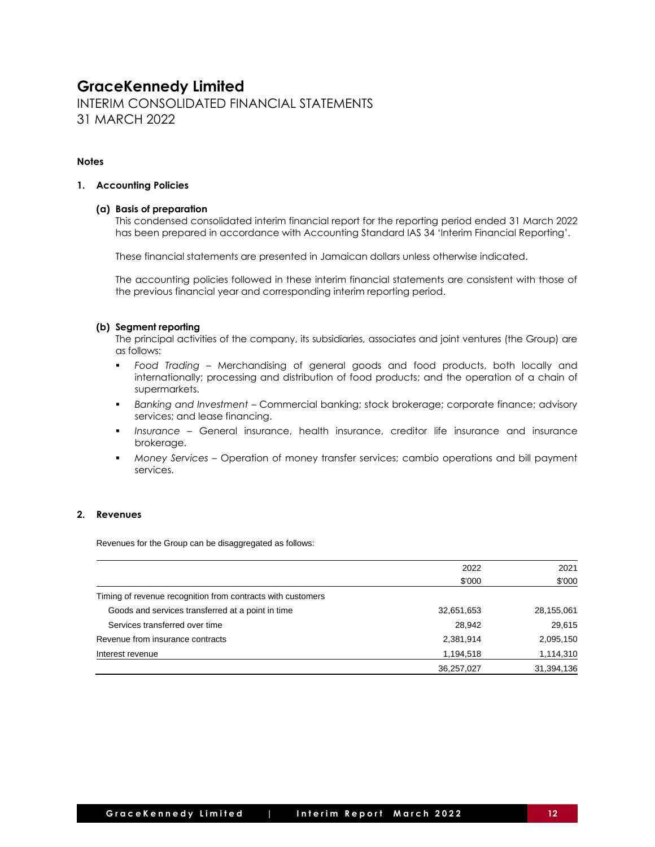INTERIM CONSOLIDATED FINANCIAL STATEMENTS 31 MARCH 2022

### **Notes**

#### **1. Accounting Policies**

### **(a) Basis of preparation**

This condensed consolidated interim financial report for the reporting period ended 31 March 2022 has been prepared in accordance with Accounting Standard IAS 34 'Interim Financial Reporting'.

These financial statements are presented in Jamaican dollars unless otherwise indicated.

The accounting policies followed in these interim financial statements are consistent with those of the previous financial year and corresponding interim reporting period.

### **(b) Segment reporting**

The principal activities of the company, its subsidiaries, associates and joint ventures (the Group) are as follows:

- *Food Trading –* Merchandising of general goods and food products, both locally and internationally; processing and distribution of food products; and the operation of a chain of supermarkets.
- *Banking and Investment –* Commercial banking; stock brokerage; corporate finance; advisory services; and lease financing.
- *Insurance –* General insurance, health insurance, creditor life insurance and insurance brokerage.
- *Money Services –* Operation of money transfer services; cambio operations and bill payment services.

### **2. Revenues**

Revenues for the Group can be disaggregated as follows:

|                                                             | 2022       | 2021       |
|-------------------------------------------------------------|------------|------------|
|                                                             | \$'000     | \$'000     |
| Timing of revenue recognition from contracts with customers |            |            |
| Goods and services transferred at a point in time           | 32,651,653 | 28,155,061 |
| Services transferred over time                              | 28,942     | 29,615     |
| Revenue from insurance contracts                            | 2,381,914  | 2,095,150  |
| Interest revenue                                            | 1,194,518  | 1,114,310  |
|                                                             | 36,257,027 | 31,394,136 |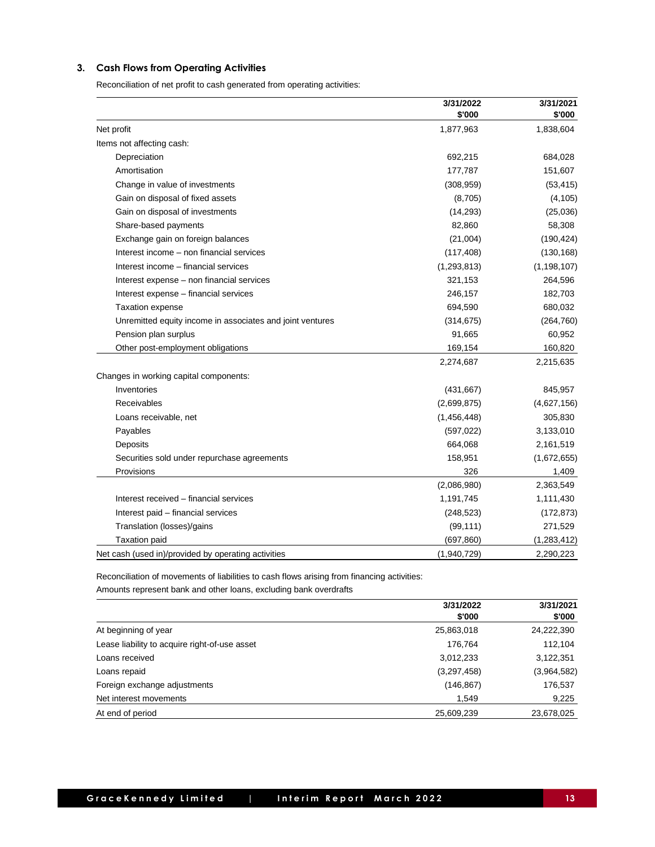### **3. Cash Flows from Operating Activities**

Reconciliation of net profit to cash generated from operating activities:

|                                                           | 3/31/2022<br>\$'000 | 3/31/2021<br>\$'000 |
|-----------------------------------------------------------|---------------------|---------------------|
| Net profit                                                | 1,877,963           | 1,838,604           |
| Items not affecting cash:                                 |                     |                     |
| Depreciation                                              | 692,215             | 684,028             |
| Amortisation                                              | 177,787             | 151,607             |
| Change in value of investments                            | (308, 959)          | (53, 415)           |
| Gain on disposal of fixed assets                          | (8,705)             | (4, 105)            |
| Gain on disposal of investments                           | (14, 293)           | (25,036)            |
| Share-based payments                                      | 82,860              | 58,308              |
| Exchange gain on foreign balances                         | (21,004)            | (190, 424)          |
| Interest income - non financial services                  | (117, 408)          | (130, 168)          |
| Interest income - financial services                      | (1, 293, 813)       | (1, 198, 107)       |
| Interest expense - non financial services                 | 321,153             | 264,596             |
| Interest expense - financial services                     | 246,157             | 182,703             |
| <b>Taxation expense</b>                                   | 694,590             | 680,032             |
| Unremitted equity income in associates and joint ventures | (314, 675)          | (264, 760)          |
| Pension plan surplus                                      | 91,665              | 60,952              |
| Other post-employment obligations                         | 169,154             | 160,820             |
|                                                           | 2,274,687           | 2,215,635           |
| Changes in working capital components:                    |                     |                     |
| Inventories                                               | (431, 667)          | 845,957             |
| Receivables                                               | (2,699,875)         | (4,627,156)         |
| Loans receivable, net                                     | (1,456,448)         | 305,830             |
| Payables                                                  | (597, 022)          | 3,133,010           |
| Deposits                                                  | 664,068             | 2,161,519           |
| Securities sold under repurchase agreements               | 158,951             | (1,672,655)         |
| Provisions                                                | 326                 | 1,409               |
|                                                           | (2,086,980)         | 2,363,549           |
| Interest received - financial services                    | 1,191,745           | 1,111,430           |
| Interest paid - financial services                        | (248, 523)          | (172, 873)          |
| Translation (losses)/gains                                | (99, 111)           | 271,529             |
| <b>Taxation paid</b>                                      | (697, 860)          | (1,283,412)         |
| Net cash (used in)/provided by operating activities       | (1,940,729)         | 2,290,223           |

Reconciliation of movements of liabilities to cash flows arising from financing activities: Amounts represent bank and other loans, excluding bank overdrafts

|                                               | 3/31/2022<br>\$'000 | 3/31/2021<br>\$'000 |
|-----------------------------------------------|---------------------|---------------------|
| At beginning of year                          | 25,863,018          | 24,222,390          |
|                                               |                     |                     |
| Lease liability to acquire right-of-use asset | 176,764             | 112,104             |
| Loans received                                | 3,012,233           | 3,122,351           |
| Loans repaid                                  | (3,297,458)         | (3,964,582)         |
| Foreign exchange adjustments                  | (146, 867)          | 176,537             |
| Net interest movements                        | 1,549               | 9,225               |
| At end of period                              | 25,609,239          | 23,678,025          |